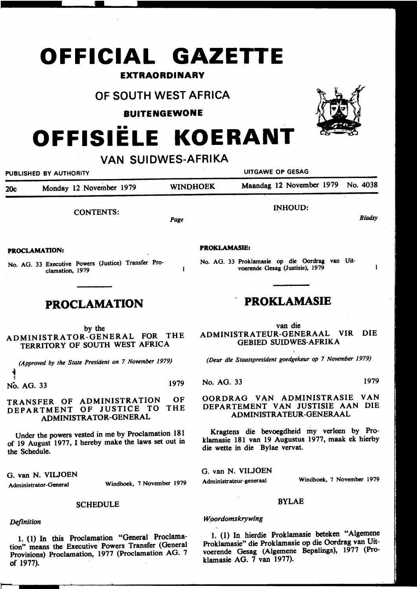# **OFFICIAL GAZETTE**

## **EXTRAORDINARY**

## **OF SOUTH WEST AFRICA**

**BUITENGEWONE** 

## •• **OFFISIELE KOERANT**

#### **VAN SUIDWES-AFRIKA**  PUBLISHED BY AUTHORITY **EXECUTE A SECOND TEST OF SESSAGRAPH** UITGAWE OP GESAG 20c Monday 12 November 1979 WINDHOEK Maandag 12 November 1979 No. 4038 INHOUD: CONTENTS: *Bladsy Page*  **PROKLAMASffi: PROCLAMATION:**  No. AG. 33 Proklamasie op die Oordrag van Uit-No. AG. 33 Executive Powers (Justice) Transfer Pro- $\mathbf{1}$ voerende Gesag (Justisie), 1979 clamation, 1979 **PROKLAMASIE PROCLAMATION**  van die by the ADMINISTRATEUR-GENERAAL VIR DIE ADMINISTRATOR-GENERAL FOR THE GEBIED SUIDWES-AFRIKA TERRITORY OF SOUTH WEST AFRICA

*(Approved by the State President on 7 November 1979)* 

~ No. AG. 33 1979

#### TRANSFER OF ADMINISTRATION OF DEPARTMENT OF JUSTICE TO THE ADMINISTRATOR-GENERAL

Under the powers vested in me by Proclamation 181 of 19 August 1977, I hereby make the laws set out in the Schedule.

G. van N. VIUOEN

Administrator-General Windhoek, 7 November 1979

#### **SCHEDULE**

#### *Definition*

..

L (1) In this Proclamation "General Proclamation" means the Executive Powers Transfer (General Provisions) Proclamation, 1977 (Proclamation AG. 7 of 1977).

*(Deur die Staatspresident goedgekeur op 7 November 1979)* 

No. AG. 33 1979

#### OORDRAG VAN ADMINISTRASIE VAN DEPARTEMENT VAN JUSTISIE AAN DIE ADMINISTRA TEUR-GENERAAL

Kragtens die bevoegdheid my verleen by Proklamasie 181 van 19 Augustus 1977, maak ek hierby die wette in die Bylae vervat.

G. van N. VIUOEN

Administrateur-generaal Windhoek, 7 November 1979

#### BYLAE

#### Woordomskrywing

1. (1) In hierdie Proklamasie beteken "Algemene Proklamasie" die Proklamasie op die Oordrag van Uitvoerende Gesag (Algemene Bepalings), 1977 (Proklamasie AG. 7 van 1977).

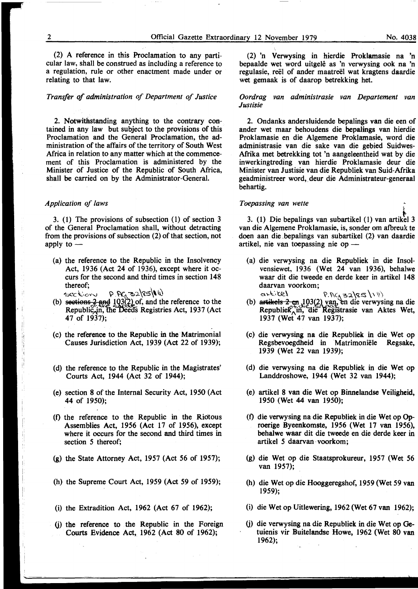(2) A reference in this Proclamation to any particular law, shall be construed as including a reference to a regulation, rule or other enactment made under or relating to that law.

#### *Transfer of administration of Department of Justice*

2. Notwithstanding anything to the contrary contained in any law but subject to the provisions of this Proclamation and the General Proclamation, the administration of the affairs of the territory of South West Africa in relation to any matter which at the commencement of this ProClamation is administered by the Minister of Justice of the Republic of South Mrica, shall be carried on by the Administrator-General.

#### *Application of laws*

3. (1) The provisions of subsection (1) of section 3 of the General Proclamation shall, without detracting from the provisions of subsection (2) of that section, not apply to  $-$ 

(a) the reference to the Republic in the Insolvency Act, 1936 (Act 24 of 1936), except where it occurs for the second and third times in section 148 thereof: thereof; the state of  $\mathbf{r}$ 

- $\text{c.c.}$ : $\text{c.c.}$   $\text{c.c.}$   $\text{p.}$   $\text{P.}$   $\text{P.}$   $\text{P.}$   $\text{P.}$   $\text{P.}$   $\text{P.}$   $\text{P.}$   $\text{P.}$   $\text{P.}$   $\text{P.}$   $\text{P.}$   $\text{P.}$   $\text{P.}$   $\text{P.}$   $\text{P.}$   $\text{P.}$   $\text{P.}$   $\text{P.}$   $\text{P.}$   $\text{P.}$   $\$ Republic<sub>x</sub>in, the Deeds Registries Act, 1937 (Act 47 of 1937);
- (c) the reference to the Republic in the Matrimonial Causes Jurisdiction Act, 1939 (Act 22 of 1939);
- (d) the reference to the Republic in the Magistrates' Courts Act, 1944 (Act 32 of 1944);
- (e) section 8 of the Internal Security Act, 1950 (Act 44 of 1950);
- (0 the reference to the Republic in the Riotous Assemblies Act, 1956 (Act 17 of 1956), except where it occurs for the second and third times in section *5* thereof;
- (g) the State Attorney Act, 1957 (Act 56 of 1957);
- (h) the Supreme Court Act, 1959 (Act 59 of 1959);
- (i) the Extradition Act, 1962 (Act 67 of 1962);
- G) tbe reference to the Republic in the Foreign Courts Evidence Act, 1962 (Act 80 of 1962);

' (2) 'n Verwysing in hierdie Proklamasie na 'n bepaalde wet word uitgele as 'n verwysing ook na 'n regulasie, reel of ander maatreel wat kragtens daardie wet gemaak is of daarop betrekking het.

#### *Oordrag van administrasie van Departement van Justisie*

2. Ondanks andersluidende bepalings van die een of ander wet maar behoudens die bepalings van hierdie Proklamasie en die A1gemene Prok1amasie, word die administrasie van die sake van die gebied Suidwes-Afrika met betrekking tot 'n aangeleentheid wat by die inwerkingtreding van hierdie Proklamasie deur die Minister van Justisie van die Republiek van Suid-Mrika geadministreer word, deur die Administrateur-generaal behartig.

#### *Toepassing van wette*

3. (1) Die bepalings van subartikel (1) van artikel 3 van die Algemene Proklamasie, is, sonder om afbreuk te doen aan die \_bepalings van subartikel (2) van daardie artikel, nie van toepassing nie op  $-$ 

- (a) die verwysing na die Republiek in die Insolvensiewet, 1936 (Wet 24 van 1936), behalwe waar dit die tweede en derde keer in artikel 148 daarvan voorkom;  $ext{c}$  is the controlling  $P.RC_A \leq 2$   $|S \leq 1 \, \cup$
- (b) artikels  $2 \text{ cm}$ , 103(2) yan, en die verwysing na die Republiek, in, die Registrasie van Aktes Wet, 1937 (Wet 47 van 1937);
- (c) die verwysing na die Republiek in die Wet op Regsbevoegdheid in Matrimoniële 1939 (Wet 22 van 1939);
- (d) die verwysing na die Republiek in die Wet op Landdroshowe, 1944 (Wet 32 van 1944);
- (e) artikel 8 van die Wet op Binnelandse Veiligheid, 1950 (Wet 44 van 1950);
- (f) die verwysing na die Republiek in die Wet op Oproerige Byeenkomste, 1956 (Wet 17 van 1956), behalwe waar dit die tweeqe en die derde keer in artikel *5* daarvan · voorkom;
- (g) die Wet op die Staatsprokureur, 1957 (Wet 56 van 1957);
- (h) die Wet op die Hooggeregshof, 1959 (Wet 59 van 1959);
- (i) die Wet op Uitlewering, 1962 (Wet 67 van 1962);
- G) die verwysing na die Republiek in die Wet op Getuienis vir Buitelandse Howe, 1962 (Wet 80 van 1962);

)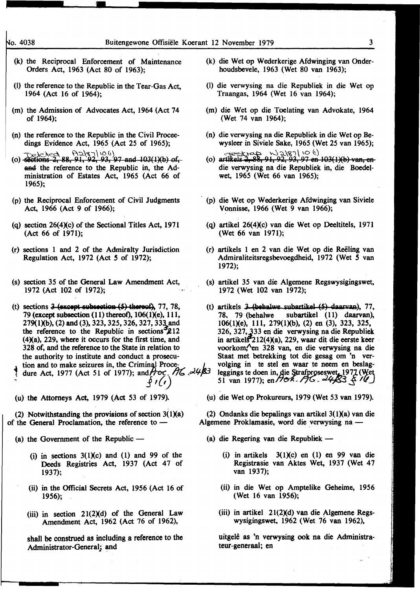- (k) the Reciprocal Enforcement of Maintenance Orders Act, 1963 (Act 80 of 1963);
- (l) the reference to the Republic in the Tear-Gas Act, 1964 (Act 16 of 1964);
- (m) the Admission of Advocates Act, 1964 (Act 74 of 1964);
- (n) the reference to the Republic in the Civil Proceedings Evidence Act, 1965 (Act 25 of 1965);
- $\frac{1}{1}$ e le  $\geq$   $\geq$   $\geq$   $\geq$   $\geq$   $\geq$   $\geq$   $\geq$   $\geq$   $\geq$   $\geq$   $\geq$   $\geq$   $\geq$   $\geq$   $\geq$   $\geq$   $\geq$   $\geq$   $\geq$   $\geq$   $\geq$   $\geq$   $\geq$   $\geq$   $\geq$   $\geq$   $\geq$   $\geq$   $\geq$   $\geq$   $\geq$   $\geq$   $\geq$   $\ge$ and the reference to the Republic in, the Administration of Estates Act, 1965 (Act 66 of 1965);
- {p) the Reciprocal Enforcement of Civil Judgments Act, 1966 (Act 9 of 1966);
- (q) section  $26(4)(c)$  of the Sectional Titles Act, 1971 (Act 66 of 1971);
- (r) sections 1 and 2 of the Admiralty Jurisdiction Regulation Act, 1972 (Act S of 1972);
- (s) section 35 of the General Law Amendment Act, 1972 (Act 102 of 1972);
- (t) sections  $3$  (except subsection (5) thereof), 77, 78, 79 (except subsection  $(11)$  thereof),  $106(1)(e)$ ,  $111$ , 279(1)(b), (2) and (3), 323, 325, 326, 327, 333 and the reference to the Republic in sections  $212$ (4Xa), 229; where it occurs for the first time, and 328 of, and the reference to the State in relation to the authority to institute and conduct a prosecu-  $\Delta$  tion and to make seizures in, the Criminal Proce-
- dure Act, 1977 (Act 51 of 1977); and  $\beta$  oc.  $\beta$  ( $\alpha$ .  $\alpha$  4 $\beta$ .  $9/$
- 

(2) Notwithstanding the provisions of section  $3(1)(a)$ of the General Proclamation, the reference to  $-$ 

- (a) the Government of the Republic  $-$ 
	- (i) in sections  $3(1)(c)$  and  $(1)$  and 99 of the Deeds Registries Act, 1937 (Act 47 of 1937);
	- (ii) in the Official Secrets Act, 1956 (Act 16 of 1956);
	- (iii) in section  $21(2)(d)$  of the General Law Amendment Act, 1962 (Act 76 of 1962),

shall be construed as including a reference to the Administrator-General; and

- (k) die Wet op Wederkerige Afdwinging van Onderhoudsbevele, 1963 (Wet 80 van 1963);
- (l) die verwysing na die Republiek in die Wet op Traangas, 1964 (Wet 16 van 1964);
- (m) die Wet op die Toelating van Advokate, 1964 (Wet 74 van 1964);
- {n) die verwysing na die Republiek in die Wet op Bewysleer in Siviele Sake, 1965 (Wet 25 van 1965);
- $\frac{1}{2}$  (o) artikels  $\frac{2}{7}$ ,  $\frac{1}{2}$ ,  $\frac{1}{2}$ ,  $\frac{1}{2}$ ,  $\frac{1}{2}$ ,  $\frac{1}{2}$ ,  $\frac{1}{2}$ ,  $\frac{1}{2}$ ,  $\frac{1}{2}$ ,  $\frac{1}{2}$ ,  $\frac{1}{2}$ ,  $\frac{1}{2}$ ,  $\frac{1}{2}$ ,  $\frac{1}{2}$ ,  $\frac{1}{2}$ ,  $\frac{1}{2}$ ,  $\frac{1}{2}$ ,  $\frac{1}{2}$ , die verwysing na die Republiek in, die Boedelwet, 1965 (Wet 66 van 1965);
- (p) die Wet op Wederkerige Afdwinging van Siviele Vonnisse, 1966 (Wet 9 van 1966);
- (q) artikel 26(4)(c) van die Wet op Deeltitels, 1971 (Wet 66 van 1971);
- (r) artikels 1 en 2 van die Wet op die Reeling van Admiraliteitsregsbevoegdheid, 1972 (Wet *S* van 1972);
- (s) artikel 35 van die Algemene Regswysigingswet, 1972 (Wet 102 van 1972);
- (t) artikels  $3$  (behalwe subartikel  $(5)$  daarvan), 77, 78, 79 (behalwe subartikel (11) daarvan), 106(1Xe), 111, 279(1Xb), (2) *en* (3), 323, 325, 326, 327,,333 en die verwysing na die Republiek. in artikels<sup>3</sup>212(4)(a), 229, waar dit die eerste keer voorkom, en 328 van, en die verwysing na die Staat met betrekking tot die gesag om 'n vervolging in te stel en waar te neem en beslagleggings te doen in, die Strafproseswet, 1977 (Wet volging in te stel en waar te neem en beslag-<br>leggings te doen in, die Strafproseswet, 1977 (Wet<br>51 van 1977); en 770x. 77G . 24483 & 10
- (u) the Attorneys Act, 1979 (Act 53 of 1979). (u) die Wet op Prokureurs, 1979 (Wet 53 van 1979).

(2) Ondanks die bepalings van artikel  $3(1)(a)$  van die Algemene Proklamasie, word die verwysing na -

- (a) die Regering van die Republiek -
	- (i) in artikels  $3(1)(c)$  en (1) en 99 van die Registrasie van Aktes Wet, 1937 (Wet 47 van 1937);
	- (ii) in die Wet op Amptelike Geheime, 1956 (Wet 16 van 1956);
	- (iii) in artikel  $21(2)(d)$  van die Algemene Regswysigingswet, 1962 (Wet 76 van 1962),

uitgele as 'n verwysing ook na die Administrateur-generaal; en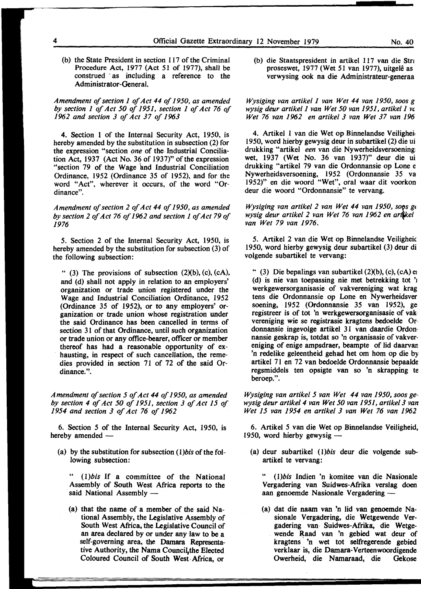(b) the State President in section 117 of the Criminal Procedure Act, 1977 (Act 51 of 1977), shall be construed · as including a reference to the Administrator-General.

*Amendment of section 1 of Act 44 of 1950, as amended by section 1 of Act 50 of 1951, section 1 of Act 76 of 1962 and section 3 of Act 37 of 1963* 

4. Section 1 of the Internal Security Act, 1950, is hereby amended by the substitution in subsection (2) for the expression "section one of the Industrial Conciliation Act, 1937 (Act No. 36 of 1937)" of the expression "section 79 of the Wage 'and Industrial Conciliation Ordinance, 1952 (Ordinance 35 of 1952), and for the word "Act", wherever it occurs, of the word "Ordinance".

*Amendment of section 2 of Act 44 of 1950, as amended by section 2 of Act 76 of 1962 and section 1 of Act 79 of 1976* 

5. Section 2 of the Internal Security Act, 1950, is hereby amended by the substitution for subsection (3) of the following subsection:

" (3) The provisions of subsection  $(2)(b)$ ,  $(c)$ ,  $(cA)$ , and (d) shall not apply in relation to an employers' organization or trade union registered under the Wage and Industrial Conciliation Ordinance, 1952 (Ordinance 35 of 1952), or to any employers' organization or trade union whose registration under the said Ordinance has been cancelled in terms of section 31 of that Ordinance, until such organization or trade union or any office-bearer, officer or member thereof has had a reasonable opportunity of exhausting, in respect of such cancellation, the remedies provided in section 71 of 72 of the said Ordinance.".

*Amendment of section 5 of Act 44 of 1950, as amended by section 4 of Act 50 of 1951, section 3 of Act 15 of 1954 and section 3 of Act 76 of 1962* 

6. Section *5* of the Internal Security Act, 1950, is hereby amended -

(a) by the substitution for subsection *(l)bis* of the following subsection:

(1)*bis* If a committee of the National Assembly of South West Africa reports to the said National Assembly  $-$ 

(a) that the name of a member of the said National Assembly, the Legislative Assembly of South West Africa, the Legislative Council of an area declared by or under any law to be a self-governing area, the Damara Representative Authority, the Nama Council, the Elected Coloured Council of South West-Mrica, or

(b) die Staatspresident in artikel 117 van die Stra proseswet, 1977 (Wet 51 van 1977), uitgelê as verwysing ook na die Administrateur-generaa

*Wysiging van artike/1 van Wet 44 van 1950, soos g wysig deur artike/1 van Wet 50 van 1951, artike/1 vt Wet 76 van 1962 en artikel 3 van Wet 37 van 196* 

4. Artikel 1 van die Wet op Binnelandse Veilighei 1950, word hierby gewysig deur in subartikel (2) die ui drukking "artikel *een* van die Nywerheidsversoening: wet, 1937 (Wet No. 36 van 1937)" deur die ui drukking "artikel 79 van die Ordonnansie op Lone e Nywerheidsversoening, 1952 (Ordonnansie 35 va 1952)" en die woord "Wet", oral waar dit voorkon deur die woord "Ordonnansie" te vervang.

*Wysiging van artikel 2 van Wet 44 van 1950, soos ge wysig deur artikel 2 van Wet 76 van 1962 en artfkel van Wet 79 van 1976.* 

5. Artikel 2 van die Wet op Binnelandse Veiligheic 1950, word hierby gewysig deur subartikel (3) deur di volgende subartikel te vervang:

" (3) Die bepalings van subartikel  $(2)(b)$ ,  $(c)$ ,  $(c)$ ,  $(c)$ (d) is nie van toepassing nie met betrekking tot '1 werkgewersorganisasie of vakvereniging wat krag tens die Ordonnansie op Lone en Nywerheidsver soening; 1952 (Ordonnansie 35 van 1952), ge registreer is of tot 'n werkgewersorganisasie of vak vereniging wie se registrasie kragtens bedoelde Or· donnansie ingevolge artikel 31 van daardie Ordon· nansie geskrap is, totdat so 'n organisasie of vakver· eniging of enige ampsdraer, beampte of lid daarvar 'n redelike geleentheid gehad het om hom op die by artikel 71 en 72 van bedoelde Ordonnansie bepaalde regsmiddels ten opsigte van so 'n skrapping te beroep.".

*Wysiging van artikel 5 van Wet 44 van 1950, soos gewysig deur artike/4 van Wet 50 van 1951, artike/3 van Wet 15 van 1954 en artikel 3 van Wet 76 van 1962* 

6. Artikel *5* van die Wet op Binnelandse Veiligheid, 1950, word hierby gewysig -

(a) deur subartikel *(l)bis* deur die volgende subartikel te vervang:

" *(l)bis* Indien 'n komitee van die Nasionale Vergadering van Suidwes-Afrika verslag doen aan genoemde Nasionale Vergadering -

(a) dat die naam van 'n lid van genoemde Nasionale Vergadering, die Wetgewende Vergadering van· Suidwes-Mrika, die Wetgewende Raad van 'n gebied wat deur of kragtens 'n wet tot selfregerende gebied verklaar is, die Damara-Verteenwoordigende Owerheid, die Namaraad, die Gekose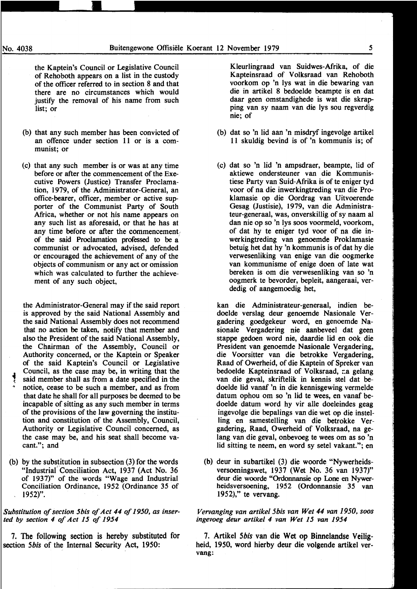the Kaptein's Council or Legislative Council of Rehoboth appears on a list in the custody of the officer referred to in section 8 and that there are no circumstances which would justify the removal of his name from such list; or

- (b) that any such member has been convicted of an offence under section 11 or is a communist; or
- (c) that any such member is or was at any time before or after the commencement of the Executive Powers (Justice) Transfer Proclamation, 1979, of the Administrator-General, an office-bearer, officer, member or active supporter of the Communist Party of South Africa, whether or not his name appears on any such list as aforesaid, or that he has at any time before or after the commencement, of the said Proclamation professed to be a communist or advocated, advised, defended or encouraged the achievement of any of the objects of communism or any act or omission which was calculated to further the achievement of any such object,

the Administrator-General may if the said report is approved by the said National Assembly and the said National Assembly does not recommend that no action be taken, notify that member and also the President of the said National Assembly, the Chairman of the Assembly, Council or Authority concerned, or the Kaptein or Speaker of the said Kaptein's Council or Legislative Council, as the case may be, in writing that the said member shall as from a date specified in the notice, cease to be such a member, and as from that date he shall for all purposes be deemed to be incapable of sitting as any such member in terms of the provisions of the law governing the institution and constitution of the Assembly, Council, Authority or Legislative Council concerned, as the case may be, and his seat shall become vacant."; and

(b) by the substitution in subsection (3) for the words "Industrial'Conciliation Act, 1937 (Act No. 36 of 1937)" of the words "Wage and Industrial Conciliation Ordinance, 1952 (Ordinance 35 of 1952)".

#### *Substitution of section 5bis of Act 44 of 1950, as inserted* by *section 4 of Act 15 of 1954*

7. The following section is hereby substituted for section *5bis* of the Internal Security Act, 1950:

Kleurlingraad van Suidwes-Mrika, of die Kapteinsraad of Volksraad van Rehoboth voorkom op 'n lys wat in die bewaring van die in artikel 8 bedoelde beampte is en dat daar geen omstandighede is wat die skrapping van sy naam van die lys sou regverdig nie; of

- (b) dat so 'n lid aan 'n misdryf ingevolge artikel 11 skuldig bevind is of 'n kommunis is; of
- (c) dat so 'n lid 'n ampsdraer, beampte, lid of aktiewe ondersteuner van die Kommunistiese Party van Suid-Afrika is of te eniger tyd voor of na die inwerkingtreding van die Proklamasie op die Oordrag van Uitvoerende Gesag (Justisie), 1979, van die Administrateur-generaal, was, onverskillig of sy naam al dan nie op so 'n lys soos voormeld, voorkom, of dat hy te eniger tyd voor of na die inwerkingtreding van genoemde Proklamasie betuig bet dat hy 'n kommunis is of dat hy die verwesenliking van enige van die oogmerke van kommunisme of enige doen of late wat bereken is om die verwesenliking van so 'n oogmerk te bevorder, bepleit, aangeraai, verdedig of aangemoedig het,

kan die Administrateur-generaal, indien bedoelde verslag deur genoemde Nasionale Vergadering goedgekeur word, en genoemde Nasionale Vergadering nie aanbeveel dat geen stappe gedoen word nie, daardie lid en ook die President van genoemde Nasionale Vergadering, die V oorsitter van die betrokke Vergadering, Raad of Owerheid, of die Kaptein of Spreker van bedoelde Kapteinsraad of Volksraad, ra gelang van die geval, skriftelik in kennis stel dat bedoelde lid vanaf 'n in die kennisgewing vermelde datum ophou om so 'n lid te wees, en vanaf bedoelde datum word hy vir aile doeleindes geag ingevolge die bepalings van die wet op die instelling en samestelling van die betrokke Vergadering, Raad, Owerheid of Volksraad, na gelang van die geval, onbevoeg te wees om as so 'n lid sitting te neem, en word sy setel vakant."; en

(b) deur in subartikel (3) die woorde "Nywerheidsversoeningswet, 1937 (Wet No. 36 van 1937)" deur die woorde "Ordonnansie op Lone en Nywerheidsversoening, 1952 (Ordonnansie 35 van 1952)," te vervang.

*Vervanging van artike/5bis van Wet 44 van 1950, soos ingevoeg deur artikel 4 van Wet 15 van 1954* 

7. Artikel *5bis* van die Wet op Binnelandse Veiligheid, 1950, word hierby deur die volgende artikel vervang: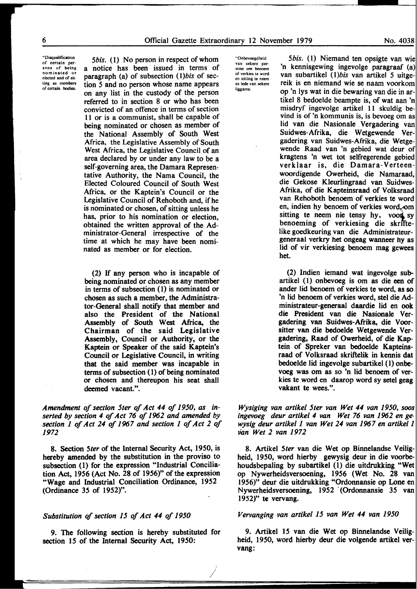"Disqualification of certain persons of being nominated or elected and of sit· ting as members of certain bodies.

*5bis.* (1) No person in respect of whom a notice has been issued in terms of paragraph (a) of subsection ( *l)bis* of section *5* and no person whose name appears on any list in the custody of the person referred to in section 8 or who has been convicted of an offence in terms of section 11 or is a communist, shall be capable of being nominated or chosen as member of the National Assembly of South West Africa, the Legislative Assembly of South West Africa, the Legislative Council of an area declared by or under any law to be a self-governing area, the Damara Representative Authority, the Nama Council, the Elected Coloured Council of South West Africa, or the Kaptein's Council or the Legislative Council of Rehoboth and, if he is nominated or chosen, of sitting unless he has, prior to his nomination or election, obtained the written approval of the Administrator-General irrespective of the time at which he may have been nominated as member or for election.

(2) If any person who is incapable of being nominated or chosen as any member in terms of subsection (1) is nominated or chosen as such a member, the Administrator-General shall notify that member and also the President of the National Assembly of South West Africa, the Chairman of the said Legislative Assembly, Council or Authority, or the Kaptein or Speaker of the said Kaptein's Council or Legislative Council, in writing that the said member was incapable in terms of subsection (1) of being nominated or chosen and thereupon his seat shall deemed vacant.".

*Amendment of section 5ter of Act 44 of 1950, as inserted by section 4 of Act 76 of 1962 and amended by section 1 of Act 24 of 1967 and section 1 of Act 2 of 1972* 

8. Section *5ter* of the Internal Security Act, 1950, is hereby amended by the substitution in the proviso to subsection (1) for the expression "Industrial Conciliation Act, 1956 (Act No. 28 of 1956)" of the expression "Wage and Industrial Conciliation Ordinance, 1952 (Ordinance 35 of 1952)".

#### *Substitution of section 15 of Act 44 of 1950*

9. The following section is hereby substituted for section 15 of the Internal Security Act, 1950:

> I /

"Onbevoegdheid van sekere persone om benoem or verkies te word en sitting te neem as lede van sekere liggame.

*5bis.* (I) Niemand ten opsigte van 'n kennisgewing ingevolge paragraaf van subartikel ( *l)bis* van artikel 5 uitgereik is en niemand wie se naam voorkom op 'n lys wat in die bewaring van die in artikel 8 bedoelde beampte is, of wat aan 'n misdryf ingevolge artikel 11 skuldig bevind is of 'n kommunis is, is bevoeg om as lid van die Nasionale Vergadering van Suidwes-Afrika, die Wetgewende Vergadering van Suidwes-Afrika, die Wetgewende Raad van 'n gebied wat deur kragtens 'n wet tot selfregerende gebied verklaar is, die Damara-Verteenwoordigende Owerheid, die Namaraad, die Gekose Kleurlingraad van Suidwes-Afrika, of die Kapteinsraad of Volksraad van Rehoboth benoem of verkies te word en, indien hy benoem of verkies word, om sitting te neem nie tensy hy, voon sy benoeming of verkiesing die skrfftelike goedkeuring van die Administrateurgeneraal verkry het ongeag wanneer hy as lid of vir verkiesing benoem mag gewees bet.

(2) Indien iemand wat ingevolge subartikel ( 1) onbevoeg is om as die een of ander lid benoem of verkies te word, as so 'n lid benoem of verkies word, stel die Administrateur-generaal daardie lid en ook die President van die Nasionale Vergadering van Suidwes-Afrika, die Voorsitter van die bedoelde Wetgewende Vergadering, Raad of Owerheid, of die Kaptein of Spreker van bedoelde Kapteinsraad of Volksraad skriftelik in kennis dat bedoelde lid ingevolge subartikel (1) onbevoeg was om as so 'n lid benoem of verkies te word en daarop word sy setel geag vakant te wees.".

*Wysiging van artikel 5ter van Wet 44 van 1950, soos ingevoeg deur artikel 4 van Wet 76 van 1962 en gewysig deur artikel 1 van Wet 24 van 1967 en artike/1 Van Wet 2 van 1972* 

8. Artikel *5ter* van die Wet op Binnelandse Veiligheid, 1950, word hierby gewysig deur in die voorbehoudsbepaling by subartikel (1) die uitdrukking "Wet op Nywerheidsversoening, 1956 (Wet No. 28 van 1956)" deur die uitdrukking "Ordonnansie op Lone en Nywerheidsversoening, 1952 (Ordonnansie 35 van 1952)" te vervang.

#### *Vervanging van artikel 15 van Wet 44 van 1950*

9. Artikel 15 van die Wet op Binnelandse Veiligheid, 1950, word hierby deur die volgende artikel vervang: